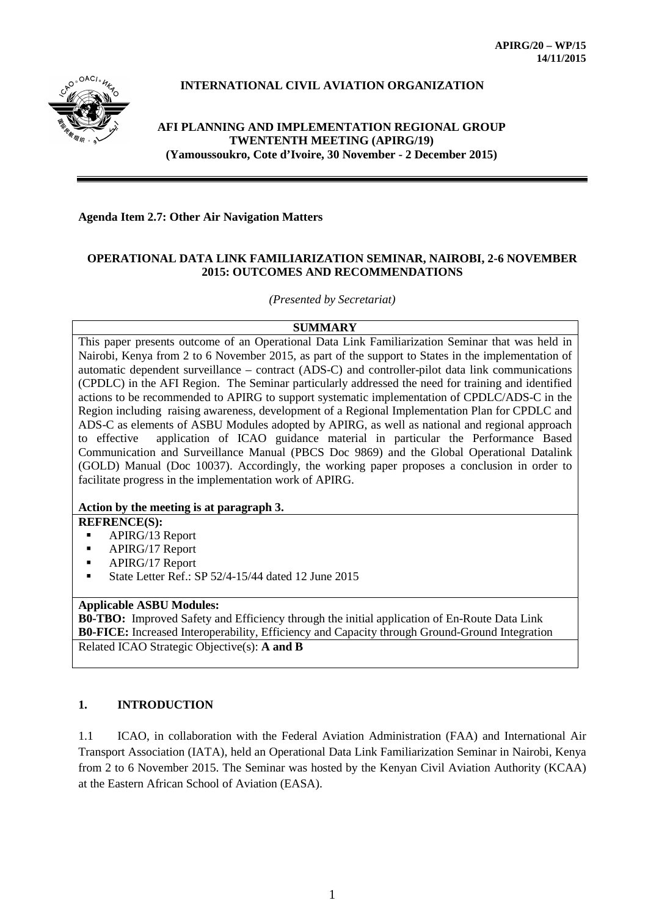

## **INTERNATIONAL CIVIL AVIATION ORGANIZATION**

## **AFI PLANNING AND IMPLEMENTATION REGIONAL GROUP TWENTENTH MEETING (APIRG/19) (Yamoussoukro, Cote d'Ivoire, 30 November - 2 December 2015)**

## **Agenda Item 2.7: Other Air Navigation Matters**

## **OPERATIONAL DATA LINK FAMILIARIZATION SEMINAR, NAIROBI, 2-6 NOVEMBER 2015: OUTCOMES AND RECOMMENDATIONS**

*(Presented by Secretariat)*

## **SUMMARY**

This paper presents outcome of an Operational Data Link Familiarization Seminar that was held in Nairobi, Kenya from 2 to 6 November 2015, as part of the support to States in the implementation of automatic dependent surveillance – contract (ADS-C) and controller-pilot data link communications (CPDLC) in the AFI Region. The Seminar particularly addressed the need for training and identified actions to be recommended to APIRG to support systematic implementation of CPDLC/ADS-C in the Region including raising awareness, development of a Regional Implementation Plan for CPDLC and ADS-C as elements of ASBU Modules adopted by APIRG, as well as national and regional approach to effective application of ICAO guidance material in particular the Performance Based Communication and Surveillance Manual (PBCS Doc 9869) and the Global Operational Datalink (GOLD) Manual (Doc 10037). Accordingly, the working paper proposes a conclusion in order to facilitate progress in the implementation work of APIRG.

#### **Action by the meeting is at paragraph 3.**

## **REFRENCE(S):**

- APIRG/13 Report
- **APIRG/17 Report**
- APIRG/17 Report
- State Letter Ref.: SP 52/4-15/44 dated 12 June 2015

## **Applicable ASBU Modules:**

**B0-TBO:** Improved Safety and Efficiency through the initial application of En-Route Data Link **B0-FICE:** Increased Interoperability, Efficiency and Capacity through Ground-Ground Integration Related ICAO Strategic Objective(s): **A and B**

## **1. INTRODUCTION**

1.1 ICAO, in collaboration with the Federal Aviation Administration (FAA) and International Air Transport Association (IATA), held an Operational Data Link Familiarization Seminar in Nairobi, Kenya from 2 to 6 November 2015. The Seminar was hosted by the Kenyan Civil Aviation Authority (KCAA) at the Eastern African School of Aviation (EASA).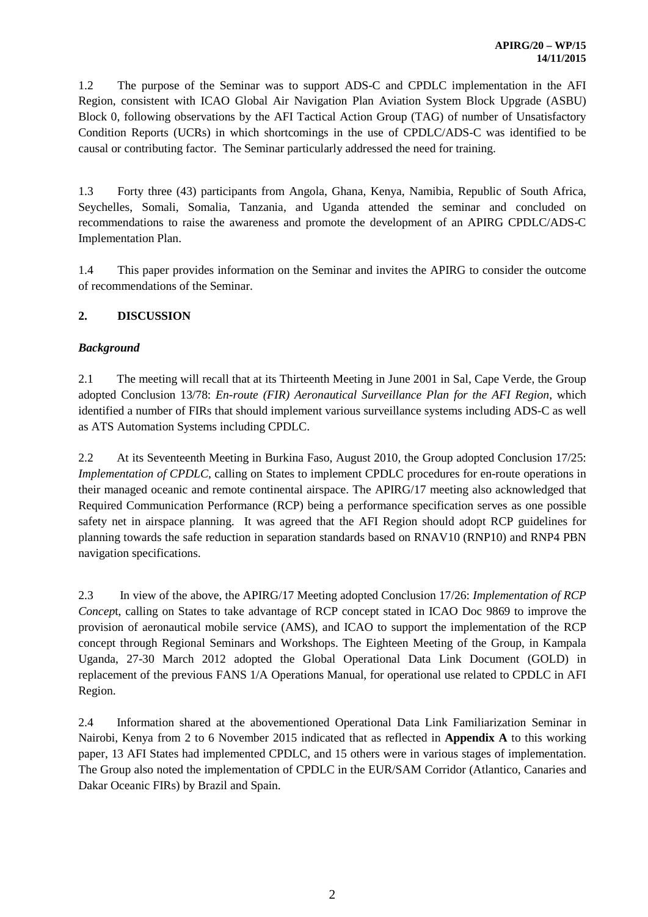1.2 The purpose of the Seminar was to support ADS-C and CPDLC implementation in the AFI Region, consistent with ICAO Global Air Navigation Plan Aviation System Block Upgrade (ASBU) Block 0, following observations by the AFI Tactical Action Group (TAG) of number of Unsatisfactory Condition Reports (UCRs) in which shortcomings in the use of CPDLC/ADS-C was identified to be causal or contributing factor. The Seminar particularly addressed the need for training.

1.3 Forty three (43) participants from Angola, Ghana, Kenya, Namibia, Republic of South Africa, Seychelles, Somali, Somalia, Tanzania, and Uganda attended the seminar and concluded on recommendations to raise the awareness and promote the development of an APIRG CPDLC/ADS-C Implementation Plan.

1.4 This paper provides information on the Seminar and invites the APIRG to consider the outcome of recommendations of the Seminar.

## **2. DISCUSSION**

## *Background*

2.1 The meeting will recall that at its Thirteenth Meeting in June 2001 in Sal, Cape Verde, the Group adopted Conclusion 13/78: *En-route (FIR) Aeronautical Surveillance Plan for the AFI Region*, which identified a number of FIRs that should implement various surveillance systems including ADS-C as well as ATS Automation Systems including CPDLC.

2.2 At its Seventeenth Meeting in Burkina Faso, August 2010, the Group adopted Conclusion 17/25: *Implementation of CPDLC*, calling on States to implement CPDLC procedures for en-route operations in their managed oceanic and remote continental airspace. The APIRG/17 meeting also acknowledged that Required Communication Performance (RCP) being a performance specification serves as one possible safety net in airspace planning. It was agreed that the AFI Region should adopt RCP guidelines for planning towards the safe reduction in separation standards based on RNAV10 (RNP10) and RNP4 PBN navigation specifications.

2.3 In view of the above, the APIRG/17 Meeting adopted Conclusion 17/26: *Implementation of RCP Concep*t, calling on States to take advantage of RCP concept stated in ICAO Doc 9869 to improve the provision of aeronautical mobile service (AMS), and ICAO to support the implementation of the RCP concept through Regional Seminars and Workshops. The Eighteen Meeting of the Group, in Kampala Uganda, 27-30 March 2012 adopted the Global Operational Data Link Document (GOLD) in replacement of the previous FANS 1/A Operations Manual, for operational use related to CPDLC in AFI Region.

2.4 Information shared at the abovementioned Operational Data Link Familiarization Seminar in Nairobi, Kenya from 2 to 6 November 2015 indicated that as reflected in **Appendix A** to this working paper, 13 AFI States had implemented CPDLC, and 15 others were in various stages of implementation. The Group also noted the implementation of CPDLC in the EUR/SAM Corridor (Atlantico, Canaries and Dakar Oceanic FIRs) by Brazil and Spain.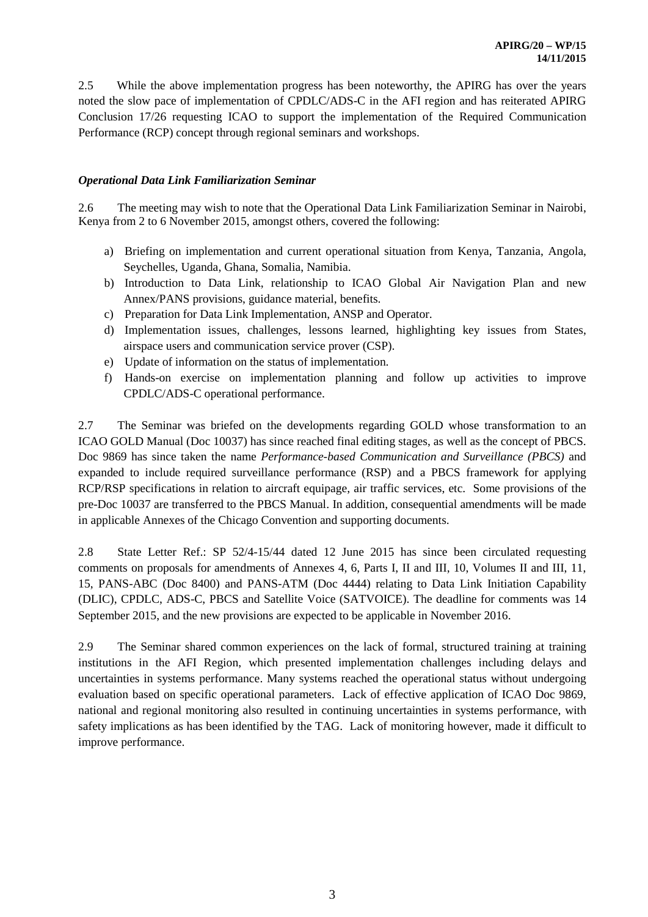2.5 While the above implementation progress has been noteworthy, the APIRG has over the years noted the slow pace of implementation of CPDLC/ADS-C in the AFI region and has reiterated APIRG Conclusion 17/26 requesting ICAO to support the implementation of the Required Communication Performance (RCP) concept through regional seminars and workshops.

## *Operational Data Link Familiarization Seminar*

2.6 The meeting may wish to note that the Operational Data Link Familiarization Seminar in Nairobi, Kenya from 2 to 6 November 2015, amongst others, covered the following:

- a) Briefing on implementation and current operational situation from Kenya, Tanzania, Angola, Seychelles, Uganda, Ghana, Somalia, Namibia.
- b) Introduction to Data Link, relationship to ICAO Global Air Navigation Plan and new Annex/PANS provisions, guidance material, benefits.
- c) Preparation for Data Link Implementation, ANSP and Operator.
- d) Implementation issues, challenges, lessons learned, highlighting key issues from States, airspace users and communication service prover (CSP).
- e) Update of information on the status of implementation.
- f) Hands-on exercise on implementation planning and follow up activities to improve CPDLC/ADS-C operational performance.

2.7 The Seminar was briefed on the developments regarding GOLD whose transformation to an ICAO GOLD Manual (Doc 10037) has since reached final editing stages, as well as the concept of PBCS. Doc 9869 has since taken the name *Performance-based Communication and Surveillance (PBCS)* and expanded to include required surveillance performance (RSP) and a PBCS framework for applying RCP/RSP specifications in relation to aircraft equipage, air traffic services, etc. Some provisions of the pre-Doc 10037 are transferred to the PBCS Manual. In addition, consequential amendments will be made in applicable Annexes of the Chicago Convention and supporting documents.

2.8 State Letter Ref.: SP 52/4-15/44 dated 12 June 2015 has since been circulated requesting comments on proposals for amendments of Annexes 4, 6, Parts I, II and III, 10, Volumes II and III, 11, 15, PANS-ABC (Doc 8400) and PANS-ATM (Doc 4444) relating to Data Link Initiation Capability (DLIC), CPDLC, ADS-C, PBCS and Satellite Voice (SATVOICE). The deadline for comments was 14 September 2015, and the new provisions are expected to be applicable in November 2016.

2.9 The Seminar shared common experiences on the lack of formal, structured training at training institutions in the AFI Region, which presented implementation challenges including delays and uncertainties in systems performance. Many systems reached the operational status without undergoing evaluation based on specific operational parameters. Lack of effective application of ICAO Doc 9869, national and regional monitoring also resulted in continuing uncertainties in systems performance, with safety implications as has been identified by the TAG. Lack of monitoring however, made it difficult to improve performance.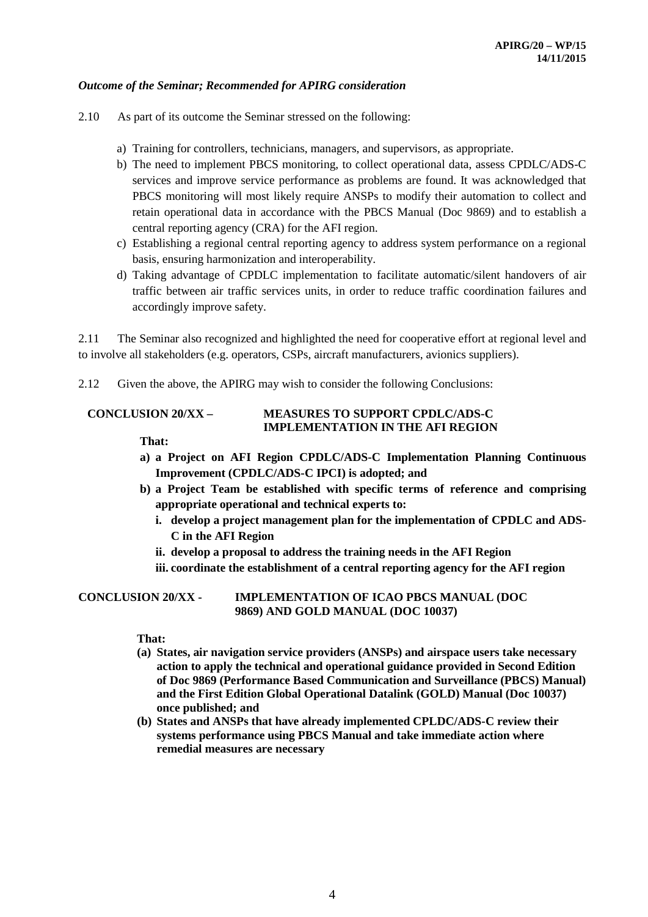## *Outcome of the Seminar; Recommended for APIRG consideration*

- 2.10 As part of its outcome the Seminar stressed on the following:
	- a) Training for controllers, technicians, managers, and supervisors, as appropriate.
	- b) The need to implement PBCS monitoring, to collect operational data, assess CPDLC/ADS-C services and improve service performance as problems are found. It was acknowledged that PBCS monitoring will most likely require ANSPs to modify their automation to collect and retain operational data in accordance with the PBCS Manual (Doc 9869) and to establish a central reporting agency (CRA) for the AFI region.
	- c) Establishing a regional central reporting agency to address system performance on a regional basis, ensuring harmonization and interoperability.
	- d) Taking advantage of CPDLC implementation to facilitate automatic/silent handovers of air traffic between air traffic services units, in order to reduce traffic coordination failures and accordingly improve safety.

2.11 The Seminar also recognized and highlighted the need for cooperative effort at regional level and to involve all stakeholders (e.g. operators, CSPs, aircraft manufacturers, avionics suppliers).

2.12 Given the above, the APIRG may wish to consider the following Conclusions:

#### **CONCLUSION 20/XX – MEASURES TO SUPPORT CPDLC/ADS-C IMPLEMENTATION IN THE AFI REGION**

#### **That:**

- **a) a Project on AFI Region CPDLC/ADS-C Implementation Planning Continuous Improvement (CPDLC/ADS-C IPCI) is adopted; and**
- **b) a Project Team be established with specific terms of reference and comprising appropriate operational and technical experts to:**
	- **i. develop a project management plan for the implementation of CPDLC and ADS-C in the AFI Region**
	- **ii. develop a proposal to address the training needs in the AFI Region**
	- **iii. coordinate the establishment of a central reporting agency for the AFI region**

#### **CONCLUSION 20/XX - IMPLEMENTATION OF ICAO PBCS MANUAL (DOC 9869) AND GOLD MANUAL (DOC 10037)**

#### **That:**

- **(a) States, air navigation service providers (ANSPs) and airspace users take necessary action to apply the technical and operational guidance provided in Second Edition of Doc 9869 (Performance Based Communication and Surveillance (PBCS) Manual) and the First Edition Global Operational Datalink (GOLD) Manual (Doc 10037) once published; and**
- **(b) States and ANSPs that have already implemented CPLDC/ADS-C review their systems performance using PBCS Manual and take immediate action where remedial measures are necessary**